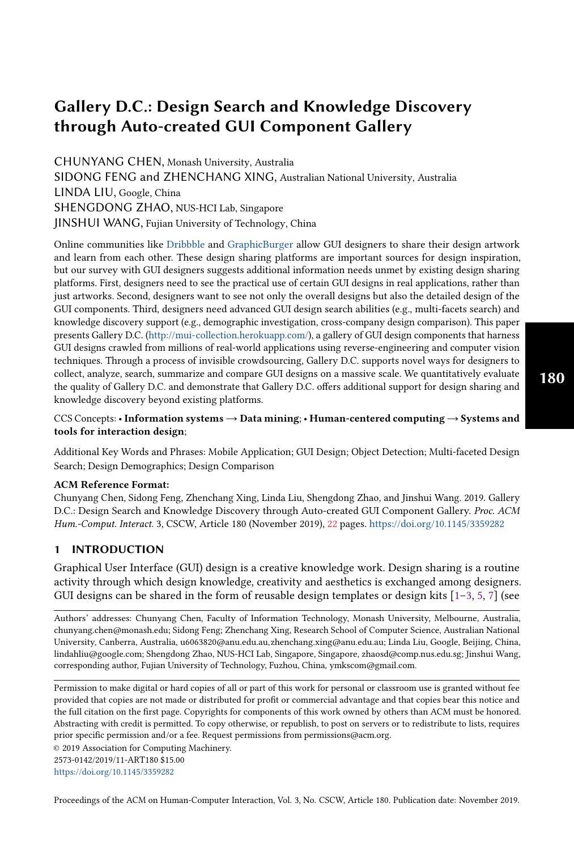CHUNYANG CHEN, Monash University, Australia SIDONG FENG and ZHENCHANG XING, Australian National University, Australia LINDA LIU, Google, China SHENGDONG ZHAO, NUS-HCI Lab, Singapore JINSHUI WANG, Fujian University of Technology, China

Online communities like [Dribbble](https://dribbble.com/) and [GraphicBurger](https://graphicburger.com/) allow GUI designers to share their design artwork and learn from each other. These design sharing platforms are important sources for design inspiration, but our survey with GUI designers suggests additional information needs unmet by existing design sharing platforms. First, designers need to see the practical use of certain GUI designs in real applications, rather than just artworks. Second, designers want to see not only the overall designs but also the detailed design of the GUI components. Third, designers need advanced GUI design search abilities (e.g., multi-facets search) and knowledge discovery support (e.g., demographic investigation, cross-company design comparison). This paper presents Gallery D.C. [\(http://mui-collection.herokuapp.com/\)](http://mui-collection.herokuapp.com/), a gallery of GUI design components that harness GUI designs crawled from millions of real-world applications using reverse-engineering and computer vision techniques. Through a process of invisible crowdsourcing, Gallery D.C. supports novel ways for designers to collect, analyze, search, summarize and compare GUI designs on a massive scale. We quantitatively evaluate the quality of Gallery D.C. and demonstrate that Gallery D.C. offers additional support for design sharing and knowledge discovery beyond existing platforms.

#### CCS Concepts: • Information systems → Data mining; • Human-centered computing → Systems and tools for interaction design;

Additional Key Words and Phrases: Mobile Application; GUI Design; Object Detection; Multi-faceted Design Search; Design Demographics; Design Comparison

#### ACM Reference Format:

Chunyang Chen, Sidong Feng, Zhenchang Xing, Linda Liu, Shengdong Zhao, and Jinshui Wang. 2019. Gallery D.C.: Design Search and Knowledge Discovery through Auto-created GUI Component Gallery. Proc. ACM Hum.-Comput. Interact. 3, CSCW, Article 180 (November 2019), [22](#page-21-0) pages. <https://doi.org/10.1145/3359282>

#### 1 INTRODUCTION

Graphical User Interface (GUI) design is a creative knowledge work. Design sharing is a routine activity through which design knowledge, creativity and aesthetics is exchanged among designers. GUI designs can be shared in the form of reusable design templates or design kits [\[1](#page-19-0)[–3,](#page-19-1) [5,](#page-20-0) [7\]](#page-20-1) (see

Authors' addresses: Chunyang Chen, Faculty of Information Technology, Monash University, Melbourne, Australia, chunyang.chen@monash.edu; Sidong Feng; Zhenchang Xing, Research School of Computer Science, Australian National University, Canberra, Australia, u6063820@anu.edu.au,zhenchang.xing@anu.edu.au; Linda Liu, Google, Beijing, China, lindahliu@google.com; Shengdong Zhao, NUS-HCI Lab, Singapore, Singapore, zhaosd@comp.nus.edu.sg; Jinshui Wang, corresponding author, Fujian University of Technology, Fuzhou, China, ymkscom@gmail.com.

Permission to make digital or hard copies of all or part of this work for personal or classroom use is granted without fee provided that copies are not made or distributed for profit or commercial advantage and that copies bear this notice and the full citation on the first page. Copyrights for components of this work owned by others than ACM must be honored. Abstracting with credit is permitted. To copy otherwise, or republish, to post on servers or to redistribute to lists, requires prior specific permission and/or a fee. Request permissions from permissions@acm.org.

© 2019 Association for Computing Machinery.

2573-0142/2019/11-ART180 \$15.00

<https://doi.org/10.1145/3359282>

Proceedings of the ACM on Human-Computer Interaction, Vol. 3, No. CSCW, Article 180. Publication date: November 2019.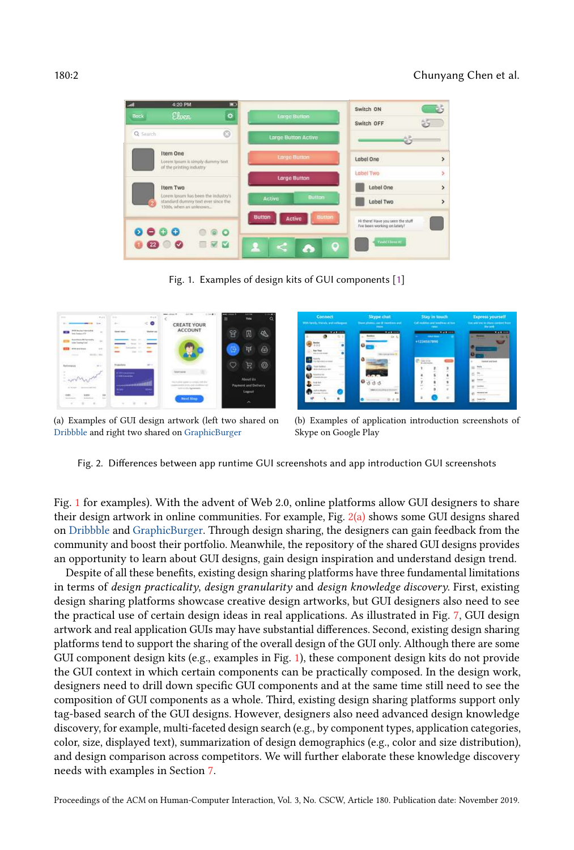#### <span id="page-1-0"></span>180:2 Chunyang Chen et al.



Fig. 1. Examples of design kits of GUI components [\[1\]](#page-19-0)

<span id="page-1-1"></span>

(a) Examples of GUI design artwork (left two shared on [Dribbble](https://dribbble.com/) and right two shared on [GraphicBurger](https://graphicburger.com/)



<span id="page-1-2"></span>(b) Examples of application introduction screenshots of Skype on Google Play

Fig. 2. Differences between app runtime GUI screenshots and app introduction GUI screenshots

Fig. [1](#page-1-0) for examples). With the advent of Web 2.0, online platforms allow GUI designers to share their design artwork in online communities. For example, Fig. [2\(a\)](#page-1-1) shows some GUI designs shared on [Dribbble](https://dribbble.com/) and [GraphicBurger.](https://graphicburger.com/) Through design sharing, the designers can gain feedback from the community and boost their portfolio. Meanwhile, the repository of the shared GUI designs provides an opportunity to learn about GUI designs, gain design inspiration and understand design trend.

Despite of all these benefits, existing design sharing platforms have three fundamental limitations in terms of design practicality, design granularity and design knowledge discovery. First, existing design sharing platforms showcase creative design artworks, but GUI designers also need to see the practical use of certain design ideas in real applications. As illustrated in Fig. [7,](#page-8-0) GUI design artwork and real application GUIs may have substantial differences. Second, existing design sharing platforms tend to support the sharing of the overall design of the GUI only. Although there are some GUI component design kits (e.g., examples in Fig. [1\)](#page-1-0), these component design kits do not provide the GUI context in which certain components can be practically composed. In the design work, designers need to drill down specific GUI components and at the same time still need to see the composition of GUI components as a whole. Third, existing design sharing platforms support only tag-based search of the GUI designs. However, designers also need advanced design knowledge discovery, for example, multi-faceted design search (e.g., by component types, application categories, color, size, displayed text), summarization of design demographics (e.g., color and size distribution), and design comparison across competitors. We will further elaborate these knowledge discovery needs with examples in Section [7.](#page-14-0)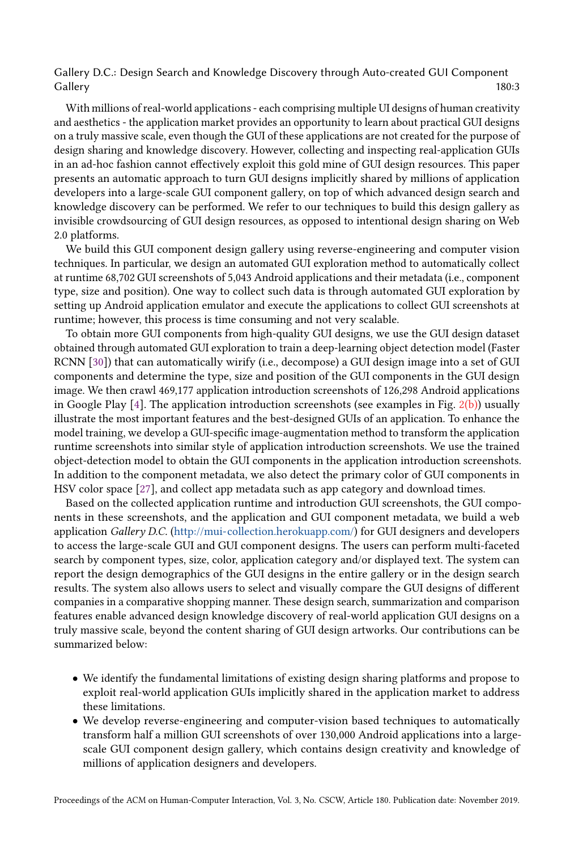With millions of real-world applications - each comprising multiple UI designs of human creativity and aesthetics - the application market provides an opportunity to learn about practical GUI designs on a truly massive scale, even though the GUI of these applications are not created for the purpose of design sharing and knowledge discovery. However, collecting and inspecting real-application GUIs in an ad-hoc fashion cannot effectively exploit this gold mine of GUI design resources. This paper presents an automatic approach to turn GUI designs implicitly shared by millions of application developers into a large-scale GUI component gallery, on top of which advanced design search and knowledge discovery can be performed. We refer to our techniques to build this design gallery as invisible crowdsourcing of GUI design resources, as opposed to intentional design sharing on Web 2.0 platforms.

We build this GUI component design gallery using reverse-engineering and computer vision techniques. In particular, we design an automated GUI exploration method to automatically collect at runtime 68,702 GUI screenshots of 5,043 Android applications and their metadata (i.e., component type, size and position). One way to collect such data is through automated GUI exploration by setting up Android application emulator and execute the applications to collect GUI screenshots at runtime; however, this process is time consuming and not very scalable.

To obtain more GUI components from high-quality GUI designs, we use the GUI design dataset obtained through automated GUI exploration to train a deep-learning object detection model (Faster RCNN [\[30\]](#page-20-2)) that can automatically wirify (i.e., decompose) a GUI design image into a set of GUI components and determine the type, size and position of the GUI components in the GUI design image. We then crawl 469,177 application introduction screenshots of 126,298 Android applications in Google Play [\[4\]](#page-20-3). The application introduction screenshots (see examples in Fig.  $2(b)$ ) usually illustrate the most important features and the best-designed GUIs of an application. To enhance the model training, we develop a GUI-specific image-augmentation method to transform the application runtime screenshots into similar style of application introduction screenshots. We use the trained object-detection model to obtain the GUI components in the application introduction screenshots. In addition to the component metadata, we also detect the primary color of GUI components in HSV color space [\[27\]](#page-20-4), and collect app metadata such as app category and download times.

Based on the collected application runtime and introduction GUI screenshots, the GUI components in these screenshots, and the application and GUI component metadata, we build a web application Gallery D.C. [\(http://mui-collection.herokuapp.com/\)](http://mui-collection.herokuapp.com/) for GUI designers and developers to access the large-scale GUI and GUI component designs. The users can perform multi-faceted search by component types, size, color, application category and/or displayed text. The system can report the design demographics of the GUI designs in the entire gallery or in the design search results. The system also allows users to select and visually compare the GUI designs of different companies in a comparative shopping manner. These design search, summarization and comparison features enable advanced design knowledge discovery of real-world application GUI designs on a truly massive scale, beyond the content sharing of GUI design artworks. Our contributions can be summarized below:

- We identify the fundamental limitations of existing design sharing platforms and propose to exploit real-world application GUIs implicitly shared in the application market to address these limitations.
- We develop reverse-engineering and computer-vision based techniques to automatically transform half a million GUI screenshots of over 130,000 Android applications into a largescale GUI component design gallery, which contains design creativity and knowledge of millions of application designers and developers.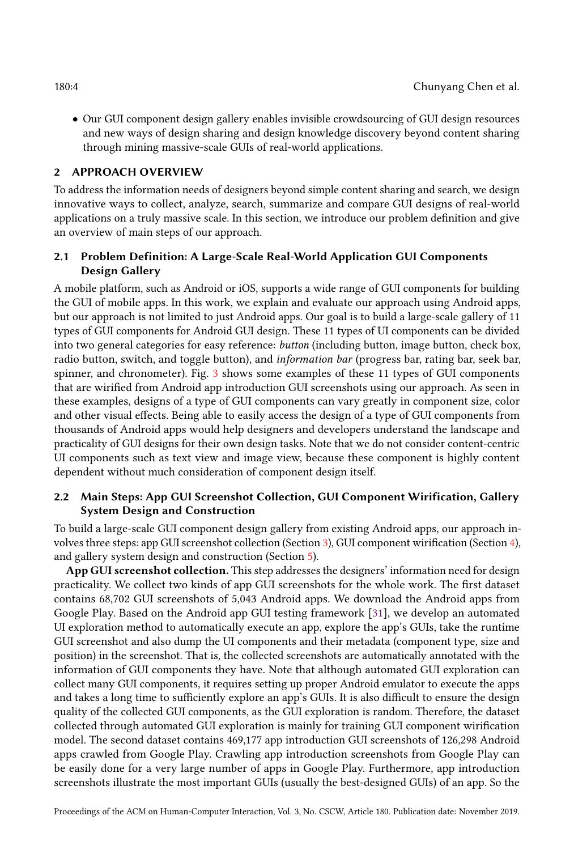• Our GUI component design gallery enables invisible crowdsourcing of GUI design resources and new ways of design sharing and design knowledge discovery beyond content sharing through mining massive-scale GUIs of real-world applications.

#### 2 APPROACH OVERVIEW

To address the information needs of designers beyond simple content sharing and search, we design innovative ways to collect, analyze, search, summarize and compare GUI designs of real-world applications on a truly massive scale. In this section, we introduce our problem definition and give an overview of main steps of our approach.

#### <span id="page-3-0"></span>2.1 Problem Definition: A Large-Scale Real-World Application GUI Components Design Gallery

A mobile platform, such as Android or iOS, supports a wide range of GUI components for building the GUI of mobile apps. In this work, we explain and evaluate our approach using Android apps, but our approach is not limited to just Android apps. Our goal is to build a large-scale gallery of 11 types of GUI components for Android GUI design. These 11 types of UI components can be divided into two general categories for easy reference: button (including button, image button, check box, radio button, switch, and toggle button), and information bar (progress bar, rating bar, seek bar, spinner, and chronometer). Fig. [3](#page-4-0) shows some examples of these 11 types of GUI components that are wirified from Android app introduction GUI screenshots using our approach. As seen in these examples, designs of a type of GUI components can vary greatly in component size, color and other visual effects. Being able to easily access the design of a type of GUI components from thousands of Android apps would help designers and developers understand the landscape and practicality of GUI designs for their own design tasks. Note that we do not consider content-centric UI components such as text view and image view, because these component is highly content dependent without much consideration of component design itself.

#### 2.2 Main Steps: App GUI Screenshot Collection, GUI Component Wirification, Gallery System Design and Construction

To build a large-scale GUI component design gallery from existing Android apps, our approach involves three steps: app GUI screenshot collection (Section [3\)](#page-5-0), GUI component wirification (Section [4\)](#page-7-0), and gallery system design and construction (Section [5\)](#page-10-0).

App GUI screenshot collection. This step addresses the designers' information need for design practicality. We collect two kinds of app GUI screenshots for the whole work. The first dataset contains 68,702 GUI screenshots of 5,043 Android apps. We download the Android apps from Google Play. Based on the Android app GUI testing framework [\[31\]](#page-21-1), we develop an automated UI exploration method to automatically execute an app, explore the app's GUIs, take the runtime GUI screenshot and also dump the UI components and their metadata (component type, size and position) in the screenshot. That is, the collected screenshots are automatically annotated with the information of GUI components they have. Note that although automated GUI exploration can collect many GUI components, it requires setting up proper Android emulator to execute the apps and takes a long time to sufficiently explore an app's GUIs. It is also difficult to ensure the design quality of the collected GUI components, as the GUI exploration is random. Therefore, the dataset collected through automated GUI exploration is mainly for training GUI component wirification model. The second dataset contains 469,177 app introduction GUI screenshots of 126,298 Android apps crawled from Google Play. Crawling app introduction screenshots from Google Play can be easily done for a very large number of apps in Google Play. Furthermore, app introduction screenshots illustrate the most important GUIs (usually the best-designed GUIs) of an app. So the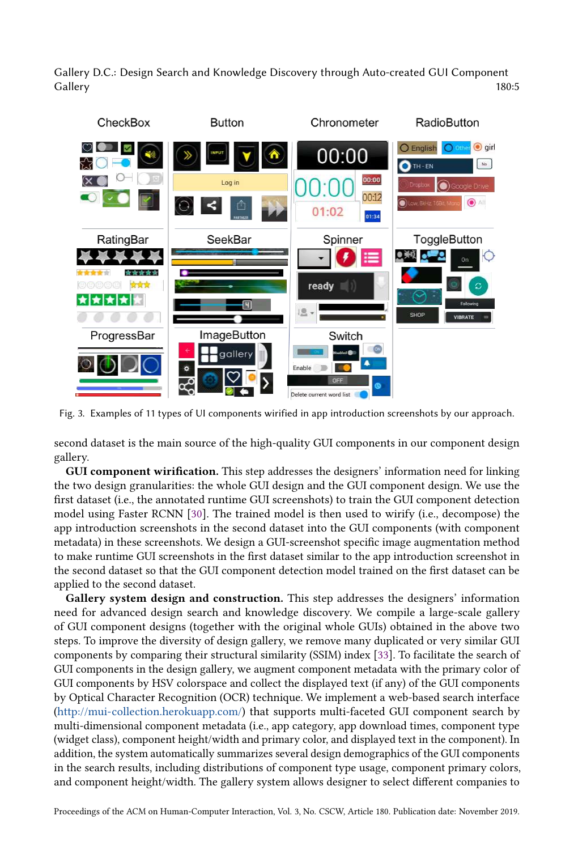<span id="page-4-0"></span>

Fig. 3. Examples of 11 types of UI components wirified in app introduction screenshots by our approach.

second dataset is the main source of the high-quality GUI components in our component design gallery.

GUI component wirification. This step addresses the designers' information need for linking the two design granularities: the whole GUI design and the GUI component design. We use the first dataset (i.e., the annotated runtime GUI screenshots) to train the GUI component detection model using Faster RCNN [\[30\]](#page-20-2). The trained model is then used to wirify (i.e., decompose) the app introduction screenshots in the second dataset into the GUI components (with component metadata) in these screenshots. We design a GUI-screenshot specific image augmentation method to make runtime GUI screenshots in the first dataset similar to the app introduction screenshot in the second dataset so that the GUI component detection model trained on the first dataset can be applied to the second dataset.

Gallery system design and construction. This step addresses the designers' information need for advanced design search and knowledge discovery. We compile a large-scale gallery of GUI component designs (together with the original whole GUIs) obtained in the above two steps. To improve the diversity of design gallery, we remove many duplicated or very similar GUI components by comparing their structural similarity (SSIM) index [\[33\]](#page-21-2). To facilitate the search of GUI components in the design gallery, we augment component metadata with the primary color of GUI components by HSV colorspace and collect the displayed text (if any) of the GUI components by Optical Character Recognition (OCR) technique. We implement a web-based search interface [\(http://mui-collection.herokuapp.com/\)](http://mui-collection.herokuapp.com/) that supports multi-faceted GUI component search by multi-dimensional component metadata (i.e., app category, app download times, component type (widget class), component height/width and primary color, and displayed text in the component). In addition, the system automatically summarizes several design demographics of the GUI components in the search results, including distributions of component type usage, component primary colors, and component height/width. The gallery system allows designer to select different companies to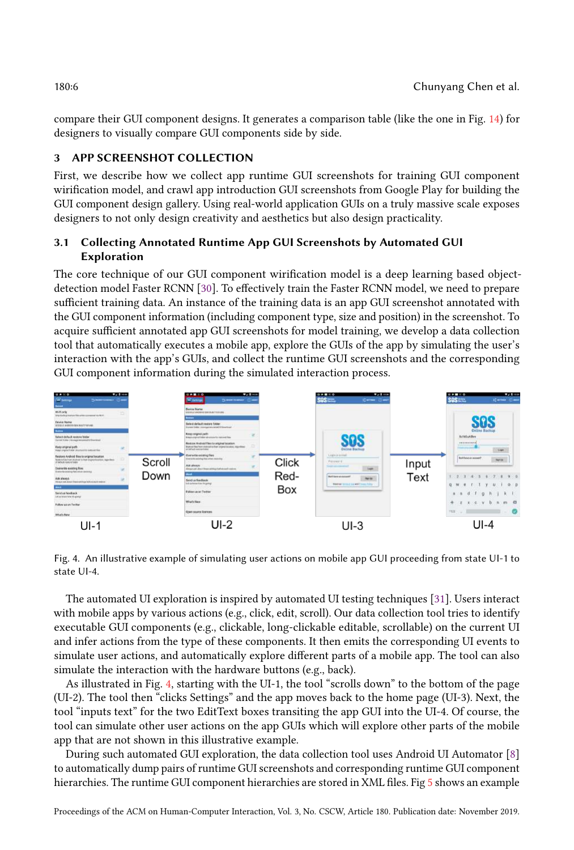compare their GUI component designs. It generates a comparison table (like the one in Fig. [14\)](#page-16-0) for designers to visually compare GUI components side by side.

### <span id="page-5-0"></span>3 APP SCREENSHOT COLLECTION

First, we describe how we collect app runtime GUI screenshots for training GUI component wirification model, and crawl app introduction GUI screenshots from Google Play for building the GUI component design gallery. Using real-world application GUIs on a truly massive scale exposes designers to not only design creativity and aesthetics but also design practicality.

## <span id="page-5-2"></span>3.1 Collecting Annotated Runtime App GUI Screenshots by Automated GUI Exploration

The core technique of our GUI component wirification model is a deep learning based objectdetection model Faster RCNN [\[30\]](#page-20-2). To effectively train the Faster RCNN model, we need to prepare sufficient training data. An instance of the training data is an app GUI screenshot annotated with the GUI component information (including component type, size and position) in the screenshot. To acquire sufficient annotated app GUI screenshots for model training, we develop a data collection tool that automatically executes a mobile app, explore the GUIs of the app by simulating the user's interaction with the app's GUIs, and collect the runtime GUI screenshots and the corresponding GUI component information during the simulated interaction process.

<span id="page-5-1"></span>

Fig. 4. An illustrative example of simulating user actions on mobile app GUI proceeding from state UI-1 to state UI-4.

The automated UI exploration is inspired by automated UI testing techniques [\[31\]](#page-21-1). Users interact with mobile apps by various actions (e.g., click, edit, scroll). Our data collection tool tries to identify executable GUI components (e.g., clickable, long-clickable editable, scrollable) on the current UI and infer actions from the type of these components. It then emits the corresponding UI events to simulate user actions, and automatically explore different parts of a mobile app. The tool can also simulate the interaction with the hardware buttons (e.g., back).

As illustrated in Fig. [4,](#page-5-1) starting with the UI-1, the tool "scrolls down" to the bottom of the page (UI-2). The tool then "clicks Settings" and the app moves back to the home page (UI-3). Next, the tool "inputs text" for the two EditText boxes transiting the app GUI into the UI-4. Of course, the tool can simulate other user actions on the app GUIs which will explore other parts of the mobile app that are not shown in this illustrative example.

During such automated GUI exploration, the data collection tool uses Android UI Automator [\[8\]](#page-20-5) to automatically dump pairs of runtime GUI screenshots and corresponding runtime GUI component hierarchies. The runtime GUI component hierarchies are stored in XML files. Fig [5](#page-6-0) shows an example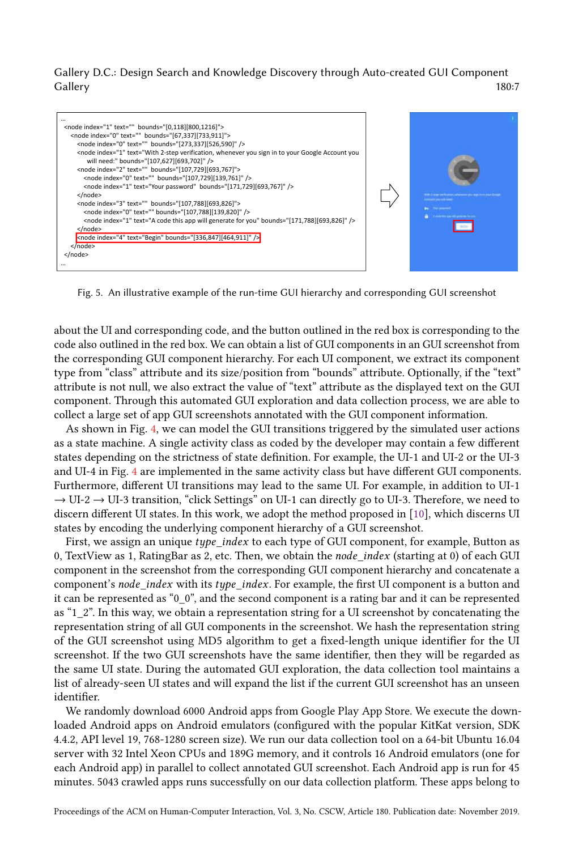<span id="page-6-0"></span>

Fig. 5. An illustrative example of the run-time GUI hierarchy and corresponding GUI screenshot

about the UI and corresponding code, and the button outlined in the red box is corresponding to the code also outlined in the red box. We can obtain a list of GUI components in an GUI screenshot from the corresponding GUI component hierarchy. For each UI component, we extract its component type from "class" attribute and its size/position from "bounds" attribute. Optionally, if the "text" attribute is not null, we also extract the value of "text" attribute as the displayed text on the GUI component. Through this automated GUI exploration and data collection process, we are able to collect a large set of app GUI screenshots annotated with the GUI component information.

As shown in Fig. [4,](#page-5-1) we can model the GUI transitions triggered by the simulated user actions as a state machine. A single activity class as coded by the developer may contain a few different states depending on the strictness of state definition. For example, the UI-1 and UI-2 or the UI-3 and UI-4 in Fig. [4](#page-5-1) are implemented in the same activity class but have different GUI components. Furthermore, different UI transitions may lead to the same UI. For example, in addition to UI-1  $\rightarrow$  UI-2  $\rightarrow$  UI-3 transition, "click Settings" on UI-1 can directly go to UI-3. Therefore, we need to discern different UI states. In this work, we adopt the method proposed in [\[10\]](#page-20-6), which discerns UI states by encoding the underlying component hierarchy of a GUI screenshot.

First, we assign an unique type index to each type of GUI component, for example, Button as 0, TextView as 1, RatingBar as 2, etc. Then, we obtain the node\_index (starting at 0) of each GUI component in the screenshot from the corresponding GUI component hierarchy and concatenate a component's node\_index with its type\_index. For example, the first UI component is a button and it can be represented as "0\_0", and the second component is a rating bar and it can be represented as "1\_2". In this way, we obtain a representation string for a UI screenshot by concatenating the representation string of all GUI components in the screenshot. We hash the representation string of the GUI screenshot using MD5 algorithm to get a fixed-length unique identifier for the UI screenshot. If the two GUI screenshots have the same identifier, then they will be regarded as the same UI state. During the automated GUI exploration, the data collection tool maintains a list of already-seen UI states and will expand the list if the current GUI screenshot has an unseen identifier.

We randomly download 6000 Android apps from Google Play App Store. We execute the downloaded Android apps on Android emulators (configured with the popular KitKat version, SDK 4.4.2, API level 19, 768-1280 screen size). We run our data collection tool on a 64-bit Ubuntu 16.04 server with 32 Intel Xeon CPUs and 189G memory, and it controls 16 Android emulators (one for each Android app) in parallel to collect annotated GUI screenshot. Each Android app is run for 45 minutes. 5043 crawled apps runs successfully on our data collection platform. These apps belong to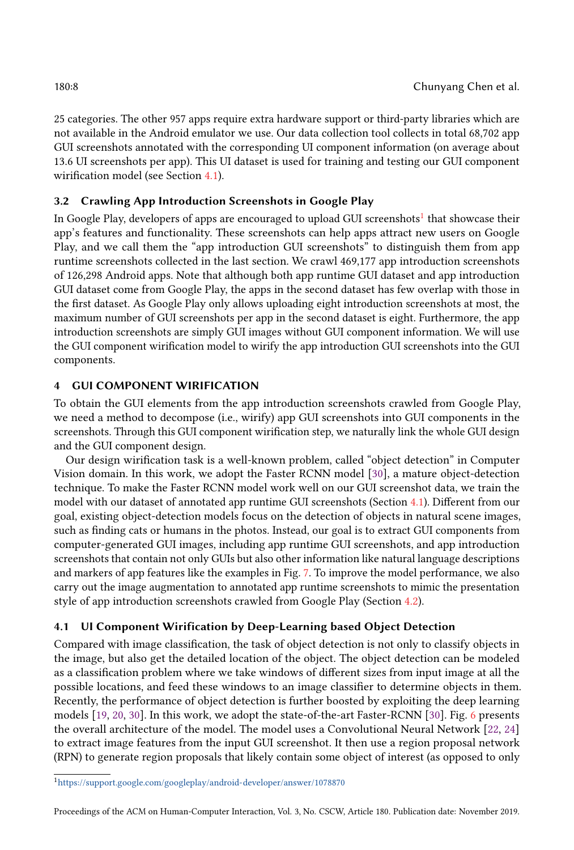25 categories. The other 957 apps require extra hardware support or third-party libraries which are not available in the Android emulator we use. Our data collection tool collects in total 68,702 app GUI screenshots annotated with the corresponding UI component information (on average about 13.6 UI screenshots per app). This UI dataset is used for training and testing our GUI component wirification model (see Section [4.1\)](#page-7-1).

## 3.2 Crawling App Introduction Screenshots in Google Play

In Google Play, developers of apps are encouraged to upload GUI screenshots $^1$  $^1$  that showcase their app's features and functionality. These screenshots can help apps attract new users on Google Play, and we call them the "app introduction GUI screenshots" to distinguish them from app runtime screenshots collected in the last section. We crawl 469,177 app introduction screenshots of 126,298 Android apps. Note that although both app runtime GUI dataset and app introduction GUI dataset come from Google Play, the apps in the second dataset has few overlap with those in the first dataset. As Google Play only allows uploading eight introduction screenshots at most, the maximum number of GUI screenshots per app in the second dataset is eight. Furthermore, the app introduction screenshots are simply GUI images without GUI component information. We will use the GUI component wirification model to wirify the app introduction GUI screenshots into the GUI components.

### <span id="page-7-0"></span>4 GUI COMPONENT WIRIFICATION

To obtain the GUI elements from the app introduction screenshots crawled from Google Play, we need a method to decompose (i.e., wirify) app GUI screenshots into GUI components in the screenshots. Through this GUI component wirification step, we naturally link the whole GUI design and the GUI component design.

Our design wirification task is a well-known problem, called "object detection" in Computer Vision domain. In this work, we adopt the Faster RCNN model [\[30\]](#page-20-2), a mature object-detection technique. To make the Faster RCNN model work well on our GUI screenshot data, we train the model with our dataset of annotated app runtime GUI screenshots (Section [4.1\)](#page-7-1). Different from our goal, existing object-detection models focus on the detection of objects in natural scene images, such as finding cats or humans in the photos. Instead, our goal is to extract GUI components from computer-generated GUI images, including app runtime GUI screenshots, and app introduction screenshots that contain not only GUIs but also other information like natural language descriptions and markers of app features like the examples in Fig. [7.](#page-8-0) To improve the model performance, we also carry out the image augmentation to annotated app runtime screenshots to mimic the presentation style of app introduction screenshots crawled from Google Play (Section [4.2\)](#page-8-1).

#### <span id="page-7-1"></span>4.1 UI Component Wirification by Deep-Learning based Object Detection

Compared with image classification, the task of object detection is not only to classify objects in the image, but also get the detailed location of the object. The object detection can be modeled as a classification problem where we take windows of different sizes from input image at all the possible locations, and feed these windows to an image classifier to determine objects in them. Recently, the performance of object detection is further boosted by exploiting the deep learning models [\[19,](#page-20-7) [20,](#page-20-8) [30\]](#page-20-2). In this work, we adopt the state-of-the-art Faster-RCNN [\[30\]](#page-20-2). Fig. [6](#page-8-2) presents the overall architecture of the model. The model uses a Convolutional Neural Network [\[22,](#page-20-9) [24\]](#page-20-10) to extract image features from the input GUI screenshot. It then use a region proposal network (RPN) to generate region proposals that likely contain some object of interest (as opposed to only

<span id="page-7-2"></span><sup>1</sup><https://support.google.com/googleplay/android-developer/answer/1078870>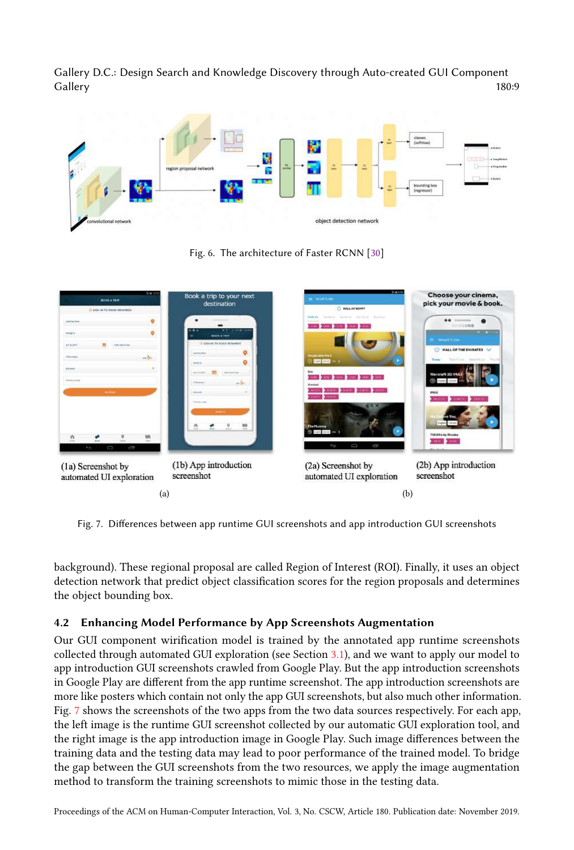<span id="page-8-2"></span>

Fig. 6. The architecture of Faster RCNN [\[30\]](#page-20-2)

<span id="page-8-0"></span>

Fig. 7. Differences between app runtime GUI screenshots and app introduction GUI screenshots

background). These regional proposal are called Region of Interest (ROI). Finally, it uses an object detection network that predict object classification scores for the region proposals and determines the object bounding box.

## <span id="page-8-1"></span>4.2 Enhancing Model Performance by App Screenshots Augmentation

Our GUI component wirification model is trained by the annotated app runtime screenshots collected through automated GUI exploration (see Section [3.1\)](#page-5-2), and we want to apply our model to app introduction GUI screenshots crawled from Google Play. But the app introduction screenshots in Google Play are different from the app runtime screenshot. The app introduction screenshots are more like posters which contain not only the app GUI screenshots, but also much other information. Fig. [7](#page-8-0) shows the screenshots of the two apps from the two data sources respectively. For each app, the left image is the runtime GUI screenshot collected by our automatic GUI exploration tool, and the right image is the app introduction image in Google Play. Such image differences between the training data and the testing data may lead to poor performance of the trained model. To bridge the gap between the GUI screenshots from the two resources, we apply the image augmentation method to transform the training screenshots to mimic those in the testing data.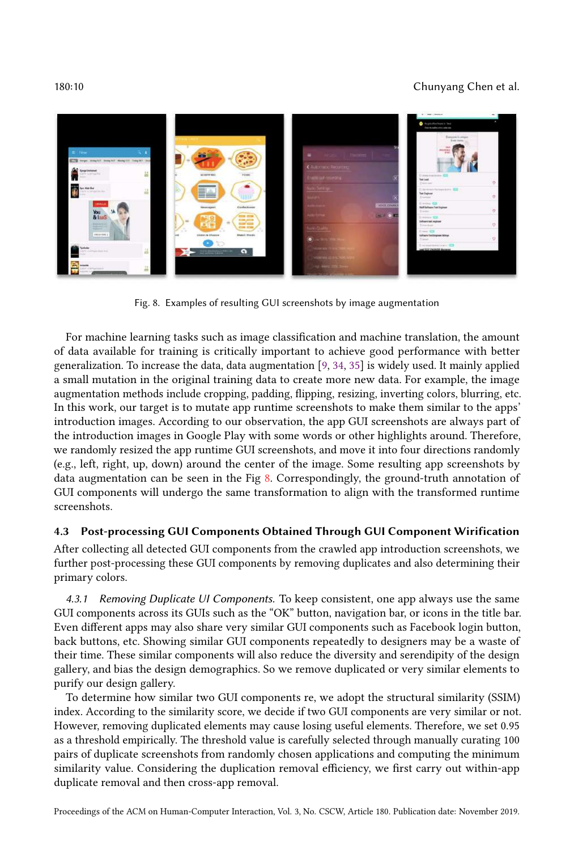## 180:10 Chunyang Chen et al.

<span id="page-9-0"></span>

Fig. 8. Examples of resulting GUI screenshots by image augmentation

For machine learning tasks such as image classification and machine translation, the amount of data available for training is critically important to achieve good performance with better generalization. To increase the data, data augmentation [\[9,](#page-20-11) [34,](#page-21-3) [35\]](#page-21-4) is widely used. It mainly applied a small mutation in the original training data to create more new data. For example, the image augmentation methods include cropping, padding, flipping, resizing, inverting colors, blurring, etc. In this work, our target is to mutate app runtime screenshots to make them similar to the apps' introduction images. According to our observation, the app GUI screenshots are always part of the introduction images in Google Play with some words or other highlights around. Therefore, we randomly resized the app runtime GUI screenshots, and move it into four directions randomly (e.g., left, right, up, down) around the center of the image. Some resulting app screenshots by data augmentation can be seen in the Fig [8.](#page-9-0) Correspondingly, the ground-truth annotation of GUI components will undergo the same transformation to align with the transformed runtime screenshots.

#### 4.3 Post-processing GUI Components Obtained Through GUI Component Wirification

After collecting all detected GUI components from the crawled app introduction screenshots, we further post-processing these GUI components by removing duplicates and also determining their primary colors.

4.3.1 Removing Duplicate UI Components. To keep consistent, one app always use the same GUI components across its GUIs such as the "OK" button, navigation bar, or icons in the title bar. Even different apps may also share very similar GUI components such as Facebook login button, back buttons, etc. Showing similar GUI components repeatedly to designers may be a waste of their time. These similar components will also reduce the diversity and serendipity of the design gallery, and bias the design demographics. So we remove duplicated or very similar elements to purify our design gallery.

To determine how similar two GUI components re, we adopt the structural similarity (SSIM) index. According to the similarity score, we decide if two GUI components are very similar or not. However, removing duplicated elements may cause losing useful elements. Therefore, we set 0.95 as a threshold empirically. The threshold value is carefully selected through manually curating 100 pairs of duplicate screenshots from randomly chosen applications and computing the minimum similarity value. Considering the duplication removal efficiency, we first carry out within-app duplicate removal and then cross-app removal.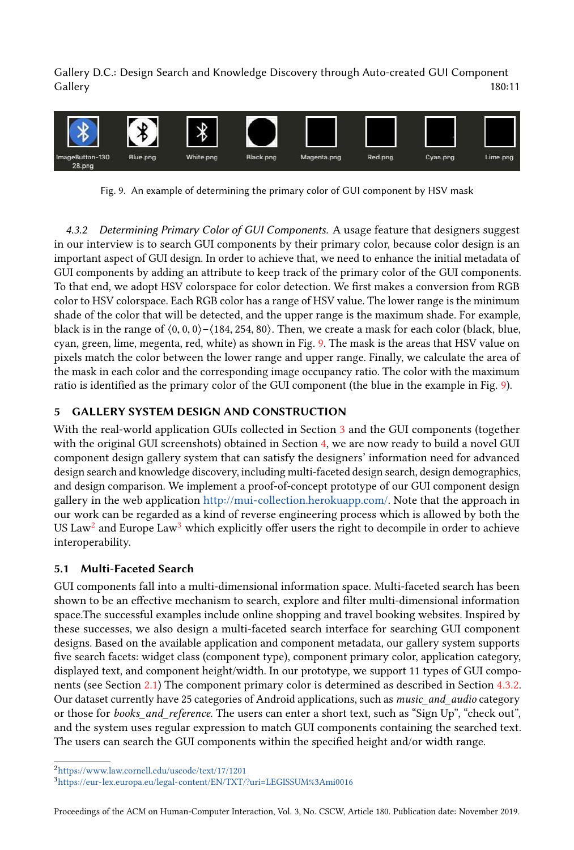<span id="page-10-1"></span>

Fig. 9. An example of determining the primary color of GUI component by HSV mask

<span id="page-10-4"></span>4.3.2 Determining Primary Color of GUI Components. A usage feature that designers suggest in our interview is to search GUI components by their primary color, because color design is an important aspect of GUI design. In order to achieve that, we need to enhance the initial metadata of GUI components by adding an attribute to keep track of the primary color of the GUI components. To that end, we adopt HSV colorspace for color detection. We first makes a conversion from RGB color to HSV colorspace. Each RGB color has a range of HSV value. The lower range is the minimum shade of the color that will be detected, and the upper range is the maximum shade. For example, black is in the range of  $(0, 0, 0)$  – $(184, 254, 80)$ . Then, we create a mask for each color (black, blue, cyan, green, lime, megenta, red, white) as shown in Fig. [9.](#page-10-1) The mask is the areas that HSV value on pixels match the color between the lower range and upper range. Finally, we calculate the area of the mask in each color and the corresponding image occupancy ratio. The color with the maximum ratio is identified as the primary color of the GUI component (the blue in the example in Fig. [9\)](#page-10-1).

### <span id="page-10-0"></span>5 GALLERY SYSTEM DESIGN AND CONSTRUCTION

With the real-world application GUIs collected in Section [3](#page-5-0) and the GUI components (together with the original GUI screenshots) obtained in Section [4,](#page-7-0) we are now ready to build a novel GUI component design gallery system that can satisfy the designers' information need for advanced design search and knowledge discovery, including multi-faceted design search, design demographics, and design comparison. We implement a proof-of-concept prototype of our GUI component design gallery in the web application [http://mui-collection.herokuapp.com/.](http://mui-collection.herokuapp.com/) Note that the approach in our work can be regarded as a kind of reverse engineering process which is allowed by both the US Law $^2$  $^2$  and Europe Law $^3$  $^3$  which explicitly offer users the right to decompile in order to achieve interoperability.

#### 5.1 Multi-Faceted Search

GUI components fall into a multi-dimensional information space. Multi-faceted search has been shown to be an effective mechanism to search, explore and filter multi-dimensional information space.The successful examples include online shopping and travel booking websites. Inspired by these successes, we also design a multi-faceted search interface for searching GUI component designs. Based on the available application and component metadata, our gallery system supports five search facets: widget class (component type), component primary color, application category, displayed text, and component height/width. In our prototype, we support 11 types of GUI components (see Section [2.1\)](#page-3-0) The component primary color is determined as described in Section [4.3.2.](#page-10-4) Our dataset currently have 25 categories of Android applications, such as music\_and\_audio category or those for books\_and\_reference. The users can enter a short text, such as "Sign Up", "check out", and the system uses regular expression to match GUI components containing the searched text. The users can search the GUI components within the specified height and/or width range.

<span id="page-10-2"></span><sup>2</sup><https://www.law.cornell.edu/uscode/text/17/1201>

<span id="page-10-3"></span><sup>3</sup><https://eur-lex.europa.eu/legal-content/EN/TXT/?uri=LEGISSUM%3Ami0016>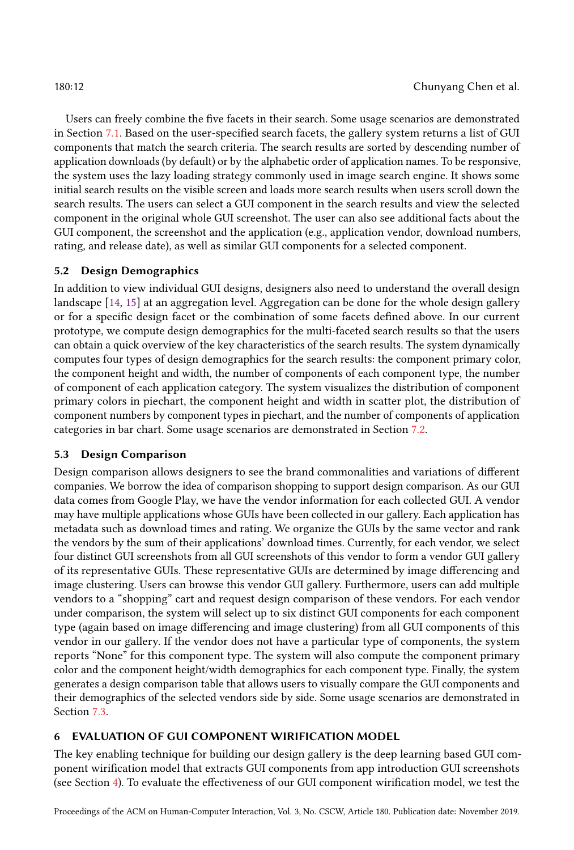Users can freely combine the five facets in their search. Some usage scenarios are demonstrated in Section [7.1.](#page-15-0) Based on the user-specified search facets, the gallery system returns a list of GUI components that match the search criteria. The search results are sorted by descending number of application downloads (by default) or by the alphabetic order of application names. To be responsive, the system uses the lazy loading strategy commonly used in image search engine. It shows some initial search results on the visible screen and loads more search results when users scroll down the search results. The users can select a GUI component in the search results and view the selected component in the original whole GUI screenshot. The user can also see additional facts about the GUI component, the screenshot and the application (e.g., application vendor, download numbers, rating, and release date), as well as similar GUI components for a selected component.

### 5.2 Design Demographics

In addition to view individual GUI designs, designers also need to understand the overall design landscape [\[14,](#page-20-12) [15\]](#page-20-13) at an aggregation level. Aggregation can be done for the whole design gallery or for a specific design facet or the combination of some facets defined above. In our current prototype, we compute design demographics for the multi-faceted search results so that the users can obtain a quick overview of the key characteristics of the search results. The system dynamically computes four types of design demographics for the search results: the component primary color, the component height and width, the number of components of each component type, the number of component of each application category. The system visualizes the distribution of component primary colors in piechart, the component height and width in scatter plot, the distribution of component numbers by component types in piechart, and the number of components of application categories in bar chart. Some usage scenarios are demonstrated in Section [7.2.](#page-16-1)

## 5.3 Design Comparison

Design comparison allows designers to see the brand commonalities and variations of different companies. We borrow the idea of comparison shopping to support design comparison. As our GUI data comes from Google Play, we have the vendor information for each collected GUI. A vendor may have multiple applications whose GUIs have been collected in our gallery. Each application has metadata such as download times and rating. We organize the GUIs by the same vector and rank the vendors by the sum of their applications' download times. Currently, for each vendor, we select four distinct GUI screenshots from all GUI screenshots of this vendor to form a vendor GUI gallery of its representative GUIs. These representative GUIs are determined by image differencing and image clustering. Users can browse this vendor GUI gallery. Furthermore, users can add multiple vendors to a "shopping" cart and request design comparison of these vendors. For each vendor under comparison, the system will select up to six distinct GUI components for each component type (again based on image differencing and image clustering) from all GUI components of this vendor in our gallery. If the vendor does not have a particular type of components, the system reports "None" for this component type. The system will also compute the component primary color and the component height/width demographics for each component type. Finally, the system generates a design comparison table that allows users to visually compare the GUI components and their demographics of the selected vendors side by side. Some usage scenarios are demonstrated in Section [7.3.](#page-16-2)

## 6 EVALUATION OF GUI COMPONENT WIRIFICATION MODEL

The key enabling technique for building our design gallery is the deep learning based GUI component wirification model that extracts GUI components from app introduction GUI screenshots (see Section [4\)](#page-7-0). To evaluate the effectiveness of our GUI component wirification model, we test the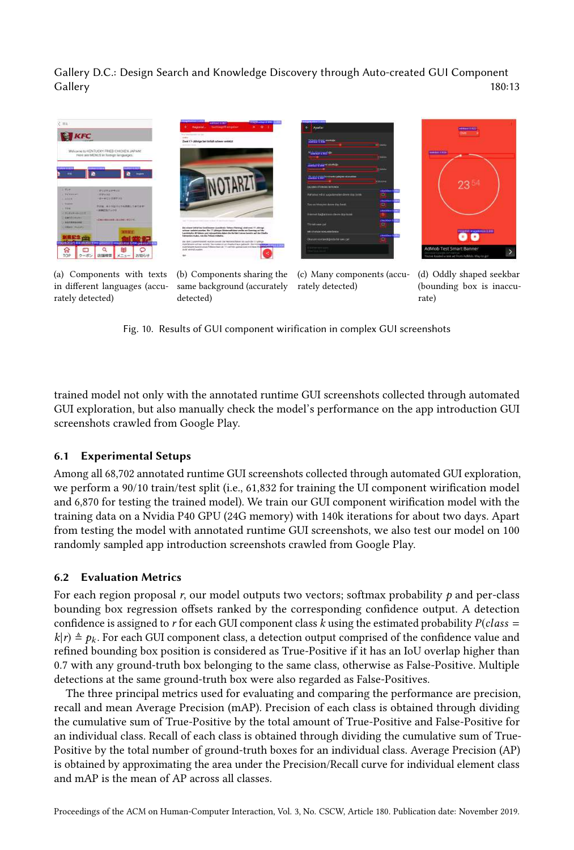<span id="page-12-1"></span><span id="page-12-0"></span>

(a) Components with texts in different languages (accurately detected)

same background (accurately detected)

<span id="page-12-2"></span>(b) Components sharing the (c) Many components (accurately detected)

<span id="page-12-4"></span><span id="page-12-3"></span>(d) Oddly shaped seekbar (bounding box is inaccurate)

Fig. 10. Results of GUI component wirification in complex GUI screenshots

trained model not only with the annotated runtime GUI screenshots collected through automated GUI exploration, but also manually check the model's performance on the app introduction GUI screenshots crawled from Google Play.

#### 6.1 Experimental Setups

Among all 68,702 annotated runtime GUI screenshots collected through automated GUI exploration, we perform a 90/10 train/test split (i.e., 61,832 for training the UI component wirification model and 6,870 for testing the trained model). We train our GUI component wirification model with the training data on a Nvidia P40 GPU (24G memory) with 140k iterations for about two days. Apart from testing the model with annotated runtime GUI screenshots, we also test our model on 100 randomly sampled app introduction screenshots crawled from Google Play.

#### 6.2 Evaluation Metrics

For each region proposal r, our model outputs two vectors; softmax probability  $p$  and per-class bounding box regression offsets ranked by the corresponding confidence output. A detection confidence is assigned to r for each GUI component class k using the estimated probability  $P(class =$  $k|r \triangleq p_k$ . For each GUI component class, a detection output comprised of the confidence value and refined bounding box position is considered as True-Positive if it has an IoU overlap higher than 0.7 with any ground-truth box belonging to the same class, otherwise as False-Positive. Multiple detections at the same ground-truth box were also regarded as False-Positives.

The three principal metrics used for evaluating and comparing the performance are precision, recall and mean Average Precision (mAP). Precision of each class is obtained through dividing the cumulative sum of True-Positive by the total amount of True-Positive and False-Positive for an individual class. Recall of each class is obtained through dividing the cumulative sum of True-Positive by the total number of ground-truth boxes for an individual class. Average Precision (AP) is obtained by approximating the area under the Precision/Recall curve for individual element class and mAP is the mean of AP across all classes.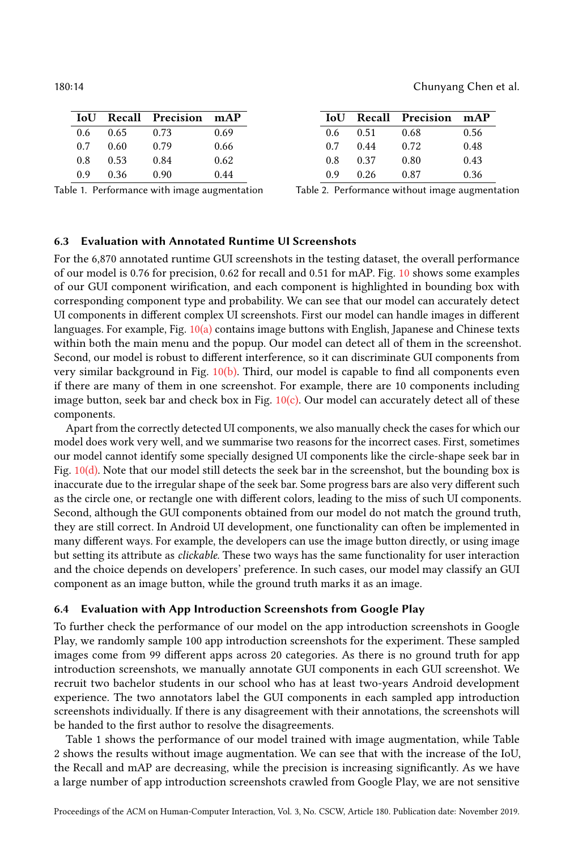| 180:14 | Chunyang Chen et al. |
|--------|----------------------|
|--------|----------------------|

| <b>IoU</b> |      | Recall Precision | mAP  |
|------------|------|------------------|------|
| 0.6        | 0.65 | 0.73             | 0.69 |
| 0.7        | 0.60 | 0.79             | 0.66 |
| 0.8        | 0.53 | 0.84             | 0.62 |
| 0.9        | 0.36 | 0.90             | 0.44 |

Table 1. Performance with image augmentation

| <b>ToU</b> |      | Recall Precision | mAP  |
|------------|------|------------------|------|
| 0.6        | 0.51 | 0.68             | 0.56 |
| 0.7        | 0.44 | 0.72             | 0.48 |
| 0.8        | 0.37 | 0.80             | 0.43 |
| 0.9        | 0.26 | 0.87             | 0.36 |

Table 2. Performance without image augmentation

#### 6.3 Evaluation with Annotated Runtime UI Screenshots

For the 6,870 annotated runtime GUI screenshots in the testing dataset, the overall performance of our model is 0.76 for precision, 0.62 for recall and 0.51 for mAP. Fig. [10](#page-12-0) shows some examples of our GUI component wirification, and each component is highlighted in bounding box with corresponding component type and probability. We can see that our model can accurately detect UI components in different complex UI screenshots. First our model can handle images in different languages. For example, Fig.  $10(a)$  contains image buttons with English, Japanese and Chinese texts within both the main menu and the popup. Our model can detect all of them in the screenshot. Second, our model is robust to different interference, so it can discriminate GUI components from very similar background in Fig.  $10(b)$ . Third, our model is capable to find all components even if there are many of them in one screenshot. For example, there are 10 components including image button, seek bar and check box in Fig.  $10(c)$ . Our model can accurately detect all of these components.

Apart from the correctly detected UI components, we also manually check the cases for which our model does work very well, and we summarise two reasons for the incorrect cases. First, sometimes our model cannot identify some specially designed UI components like the circle-shape seek bar in Fig. [10\(d\).](#page-12-4) Note that our model still detects the seek bar in the screenshot, but the bounding box is inaccurate due to the irregular shape of the seek bar. Some progress bars are also very different such as the circle one, or rectangle one with different colors, leading to the miss of such UI components. Second, although the GUI components obtained from our model do not match the ground truth, they are still correct. In Android UI development, one functionality can often be implemented in many different ways. For example, the developers can use the image button directly, or using image but setting its attribute as clickable. These two ways has the same functionality for user interaction and the choice depends on developers' preference. In such cases, our model may classify an GUI component as an image button, while the ground truth marks it as an image.

#### 6.4 Evaluation with App Introduction Screenshots from Google Play

To further check the performance of our model on the app introduction screenshots in Google Play, we randomly sample 100 app introduction screenshots for the experiment. These sampled images come from 99 different apps across 20 categories. As there is no ground truth for app introduction screenshots, we manually annotate GUI components in each GUI screenshot. We recruit two bachelor students in our school who has at least two-years Android development experience. The two annotators label the GUI components in each sampled app introduction screenshots individually. If there is any disagreement with their annotations, the screenshots will be handed to the first author to resolve the disagreements.

Table 1 shows the performance of our model trained with image augmentation, while Table 2 shows the results without image augmentation. We can see that with the increase of the IoU, the Recall and mAP are decreasing, while the precision is increasing significantly. As we have a large number of app introduction screenshots crawled from Google Play, we are not sensitive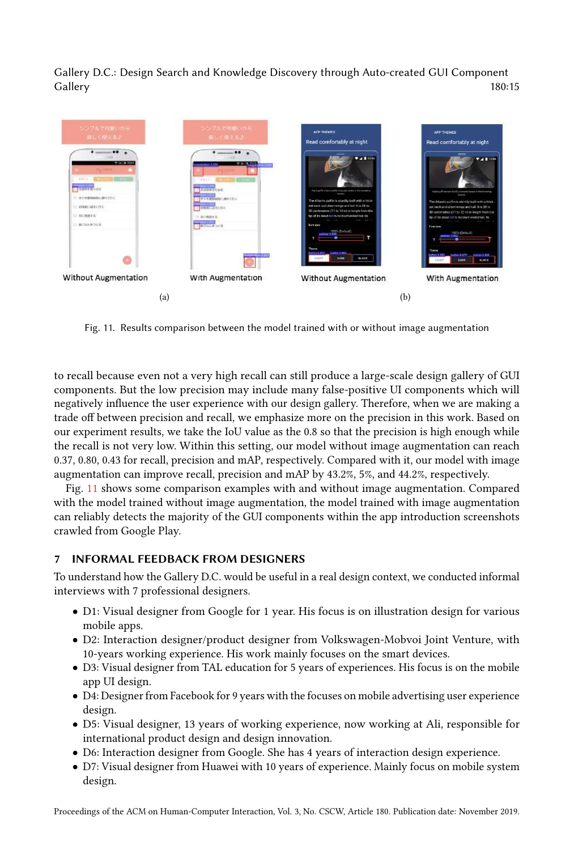<span id="page-14-1"></span>

| シンプルで可愛いから<br>廃して使える3)                                                                                                                                       | シンプルで可能いから<br>楽しく使える♪                                                                                                                    | <b>APP THEMES</b><br>Read comfortably at night                                                                                                                                                                                                                                                                      | <b>APP THEMES</b><br>Read comfortably at night                                                                                                                                                                                                                                                                                            |
|--------------------------------------------------------------------------------------------------------------------------------------------------------------|------------------------------------------------------------------------------------------------------------------------------------------|---------------------------------------------------------------------------------------------------------------------------------------------------------------------------------------------------------------------------------------------------------------------------------------------------------------------|-------------------------------------------------------------------------------------------------------------------------------------------------------------------------------------------------------------------------------------------------------------------------------------------------------------------------------------------|
| $^{\circ}$<br>$+$<br><b>THE 1999</b><br><b>MAYS</b><br><b>CONTRACT</b><br><b>Cluster</b><br>EL NY BRANNEZMICHIC<br>L' MINIGRATIVE<br>U BURNY&<br>17 第2日入をつくる | <b>TELEVISION</b><br><b>DISTURBANCE</b><br>18.5<br>株式会社参与の4543<br><b>WEATHERST AWAY.COM</b><br>3 世紀初には気に行く<br>コネに検討する<br><b>TENNADAR</b> | 7.1111<br>PA/SA/Transcotably calls out to do in the levels a<br>The Attentic pufficits studily built with a thrile-<br>set neck and short wings and tall. It is 28 to<br>30 centimetres (11 to 12 in) in length from the<br>tip of its slout bill to its blunt-anded tail. Its<br>Fort cars<br>tender have melasty. | <b>TABLES</b><br>Additional mainter booth contracts terms in the browing<br><b>MAGIN</b><br>The Atlantic puffin is stord by built with a thick-<br>set neck and short wings and tall. It is 26 to<br>30 centimetres (11 to 12 in) is leagth from the<br>tip of its stoat bill to its blant-ended tool, its<br>Piret size<br>100% metasity |
| Without Augmentation                                                                                                                                         | With Augmentation                                                                                                                        | <b>Thomas</b><br>atsam it any<br><b>MAYA E BEZ</b><br><b>AIGHT</b><br><b>DAME</b><br><b>BLAZK</b><br><b>Without Augmentation</b>                                                                                                                                                                                    | Timber<br>Artist 8:335 buffort 0.877 harmon 200<br><b>SLACE</b><br>LICATS<br><b>DATK</b><br>With Augmentation                                                                                                                                                                                                                             |
| (a)                                                                                                                                                          |                                                                                                                                          | (b)                                                                                                                                                                                                                                                                                                                 |                                                                                                                                                                                                                                                                                                                                           |

Fig. 11. Results comparison between the model trained with or without image augmentation

to recall because even not a very high recall can still produce a large-scale design gallery of GUI components. But the low precision may include many false-positive UI components which will negatively influence the user experience with our design gallery. Therefore, when we are making a trade off between precision and recall, we emphasize more on the precision in this work. Based on our experiment results, we take the IoU value as the 0.8 so that the precision is high enough while the recall is not very low. Within this setting, our model without image augmentation can reach 0.37, 0.80, 0.43 for recall, precision and mAP, respectively. Compared with it, our model with image augmentation can improve recall, precision and mAP by 43.2%, 5%, and 44.2%, respectively.

Fig. [11](#page-14-1) shows some comparison examples with and without image augmentation. Compared with the model trained without image augmentation, the model trained with image augmentation can reliably detects the majority of the GUI components within the app introduction screenshots crawled from Google Play.

### <span id="page-14-0"></span>7 INFORMAL FEEDBACK FROM DESIGNERS

To understand how the Gallery D.C. would be useful in a real design context, we conducted informal interviews with 7 professional designers.

- D1: Visual designer from Google for 1 year. His focus is on illustration design for various mobile apps.
- D2: Interaction designer/product designer from Volkswagen-Mobvoi Joint Venture, with 10-years working experience. His work mainly focuses on the smart devices.
- D3: Visual designer from TAL education for 5 years of experiences. His focus is on the mobile app UI design.
- D4: Designer from Facebook for 9 years with the focuses on mobile advertising user experience design.
- D5: Visual designer, 13 years of working experience, now working at Ali, responsible for international product design and design innovation.
- D6: Interaction designer from Google. She has 4 years of interaction design experience.
- D7: Visual designer from Huawei with 10 years of experience. Mainly focus on mobile system design.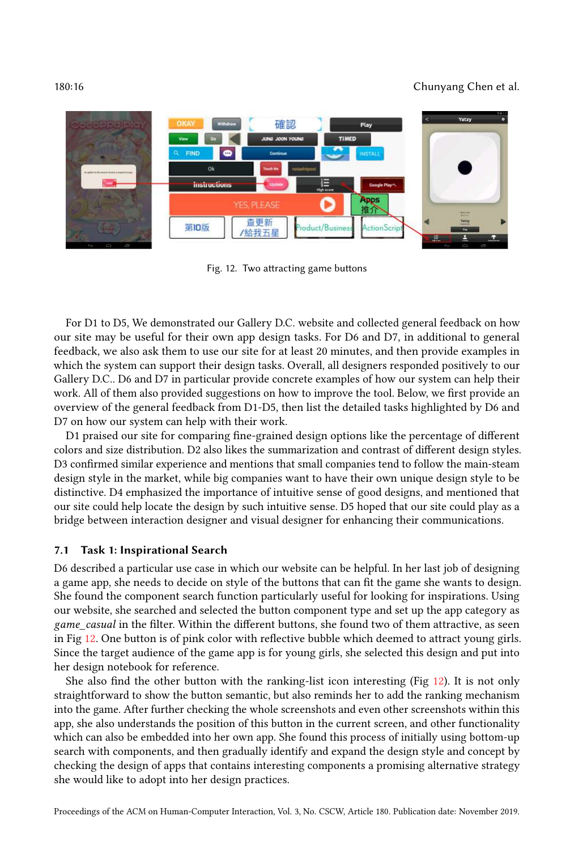## 180:16 Chunyang Chen et al.

<span id="page-15-1"></span>

Fig. 12. Two attracting game buttons

For D1 to D5, We demonstrated our Gallery D.C. website and collected general feedback on how our site may be useful for their own app design tasks. For D6 and D7, in additional to general feedback, we also ask them to use our site for at least 20 minutes, and then provide examples in which the system can support their design tasks. Overall, all designers responded positively to our Gallery D.C.. D6 and D7 in particular provide concrete examples of how our system can help their work. All of them also provided suggestions on how to improve the tool. Below, we first provide an overview of the general feedback from D1-D5, then list the detailed tasks highlighted by D6 and D7 on how our system can help with their work.

D1 praised our site for comparing fine-grained design options like the percentage of different colors and size distribution. D2 also likes the summarization and contrast of different design styles. D3 confirmed similar experience and mentions that small companies tend to follow the main-steam design style in the market, while big companies want to have their own unique design style to be distinctive. D4 emphasized the importance of intuitive sense of good designs, and mentioned that our site could help locate the design by such intuitive sense. D5 hoped that our site could play as a bridge between interaction designer and visual designer for enhancing their communications.

#### <span id="page-15-0"></span>7.1 Task 1: Inspirational Search

D6 described a particular use case in which our website can be helpful. In her last job of designing a game app, she needs to decide on style of the buttons that can fit the game she wants to design. She found the component search function particularly useful for looking for inspirations. Using our website, she searched and selected the button component type and set up the app category as game\_casual in the filter. Within the different buttons, she found two of them attractive, as seen in Fig [12.](#page-15-1) One button is of pink color with reflective bubble which deemed to attract young girls. Since the target audience of the game app is for young girls, she selected this design and put into her design notebook for reference.

She also find the other button with the ranking-list icon interesting (Fig [12\)](#page-15-1). It is not only straightforward to show the button semantic, but also reminds her to add the ranking mechanism into the game. After further checking the whole screenshots and even other screenshots within this app, she also understands the position of this button in the current screen, and other functionality which can also be embedded into her own app. She found this process of initially using bottom-up search with components, and then gradually identify and expand the design style and concept by checking the design of apps that contains interesting components a promising alternative strategy she would like to adopt into her design practices.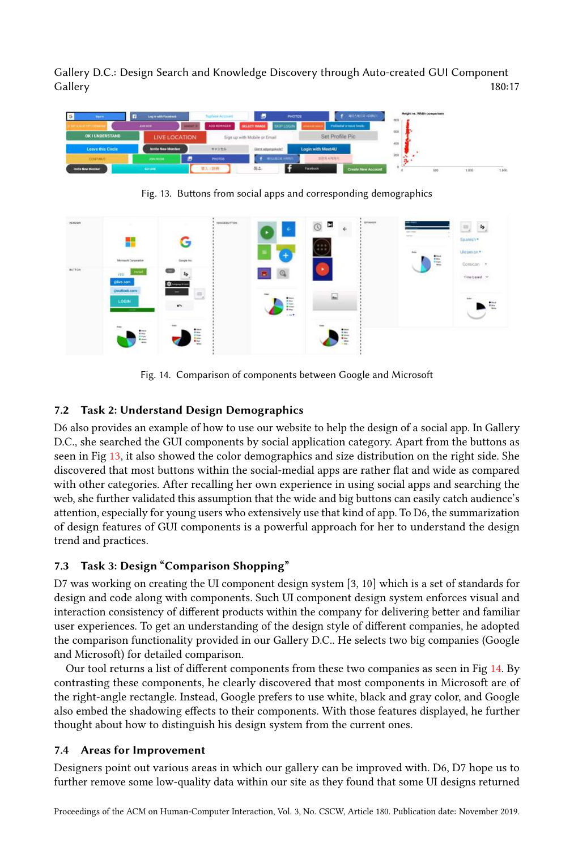<span id="page-16-3"></span>

Fig. 13. Buttons from social apps and corresponding demographics

<span id="page-16-0"></span>

Fig. 14. Comparison of components between Google and Microsoft

## <span id="page-16-1"></span>7.2 Task 2: Understand Design Demographics

D6 also provides an example of how to use our website to help the design of a social app. In Gallery D.C., she searched the GUI components by social application category. Apart from the buttons as seen in Fig [13,](#page-16-3) it also showed the color demographics and size distribution on the right side. She discovered that most buttons within the social-medial apps are rather flat and wide as compared with other categories. After recalling her own experience in using social apps and searching the web, she further validated this assumption that the wide and big buttons can easily catch audience's attention, especially for young users who extensively use that kind of app. To D6, the summarization of design features of GUI components is a powerful approach for her to understand the design trend and practices.

## <span id="page-16-2"></span>7.3 Task 3: Design "Comparison Shopping"

D7 was working on creating the UI component design system [3, 10] which is a set of standards for design and code along with components. Such UI component design system enforces visual and interaction consistency of different products within the company for delivering better and familiar user experiences. To get an understanding of the design style of different companies, he adopted the comparison functionality provided in our Gallery D.C.. He selects two big companies (Google and Microsoft) for detailed comparison.

Our tool returns a list of different components from these two companies as seen in Fig [14.](#page-16-0) By contrasting these components, he clearly discovered that most components in Microsoft are of the right-angle rectangle. Instead, Google prefers to use white, black and gray color, and Google also embed the shadowing effects to their components. With those features displayed, he further thought about how to distinguish his design system from the current ones.

## 7.4 Areas for Improvement

Designers point out various areas in which our gallery can be improved with. D6, D7 hope us to further remove some low-quality data within our site as they found that some UI designs returned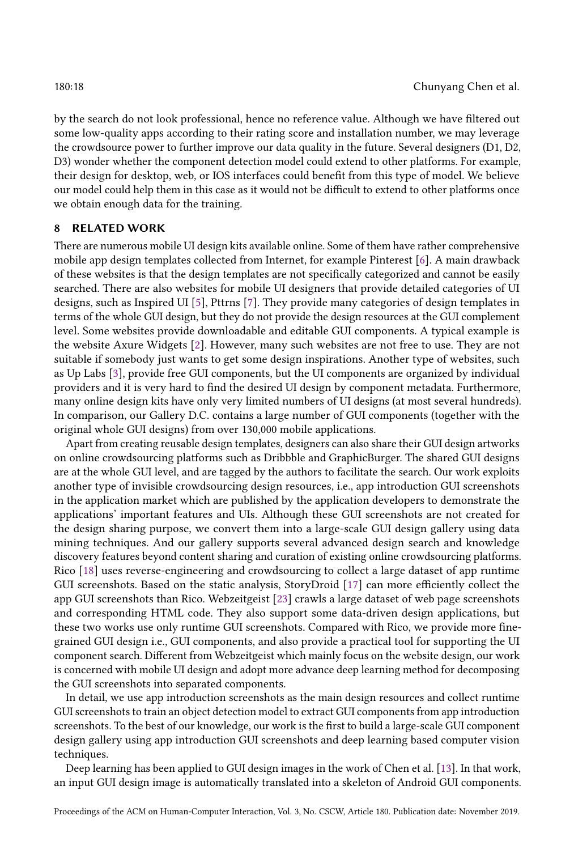by the search do not look professional, hence no reference value. Although we have filtered out some low-quality apps according to their rating score and installation number, we may leverage the crowdsource power to further improve our data quality in the future. Several designers (D1, D2, D3) wonder whether the component detection model could extend to other platforms. For example, their design for desktop, web, or IOS interfaces could benefit from this type of model. We believe our model could help them in this case as it would not be difficult to extend to other platforms once we obtain enough data for the training.

#### 8 RELATED WORK

There are numerous mobile UI design kits available online. Some of them have rather comprehensive mobile app design templates collected from Internet, for example Pinterest [\[6\]](#page-20-14). A main drawback of these websites is that the design templates are not specifically categorized and cannot be easily searched. There are also websites for mobile UI designers that provide detailed categories of UI designs, such as Inspired UI [\[5\]](#page-20-0), Pttrns [\[7\]](#page-20-1). They provide many categories of design templates in terms of the whole GUI design, but they do not provide the design resources at the GUI complement level. Some websites provide downloadable and editable GUI components. A typical example is the website Axure Widgets [\[2\]](#page-19-2). However, many such websites are not free to use. They are not suitable if somebody just wants to get some design inspirations. Another type of websites, such as Up Labs [\[3\]](#page-19-1), provide free GUI components, but the UI components are organized by individual providers and it is very hard to find the desired UI design by component metadata. Furthermore, many online design kits have only very limited numbers of UI designs (at most several hundreds). In comparison, our Gallery D.C. contains a large number of GUI components (together with the original whole GUI designs) from over 130,000 mobile applications.

Apart from creating reusable design templates, designers can also share their GUI design artworks on online crowdsourcing platforms such as Dribbble and GraphicBurger. The shared GUI designs are at the whole GUI level, and are tagged by the authors to facilitate the search. Our work exploits another type of invisible crowdsourcing design resources, i.e., app introduction GUI screenshots in the application market which are published by the application developers to demonstrate the applications' important features and UIs. Although these GUI screenshots are not created for the design sharing purpose, we convert them into a large-scale GUI design gallery using data mining techniques. And our gallery supports several advanced design search and knowledge discovery features beyond content sharing and curation of existing online crowdsourcing platforms. Rico [\[18\]](#page-20-15) uses reverse-engineering and crowdsourcing to collect a large dataset of app runtime GUI screenshots. Based on the static analysis, StoryDroid [\[17\]](#page-20-16) can more efficiently collect the app GUI screenshots than Rico. Webzeitgeist [\[23\]](#page-20-17) crawls a large dataset of web page screenshots and corresponding HTML code. They also support some data-driven design applications, but these two works use only runtime GUI screenshots. Compared with Rico, we provide more finegrained GUI design i.e., GUI components, and also provide a practical tool for supporting the UI component search. Different from Webzeitgeist which mainly focus on the website design, our work is concerned with mobile UI design and adopt more advance deep learning method for decomposing the GUI screenshots into separated components.

In detail, we use app introduction screenshots as the main design resources and collect runtime GUI screenshots to train an object detection model to extract GUI components from app introduction screenshots. To the best of our knowledge, our work is the first to build a large-scale GUI component design gallery using app introduction GUI screenshots and deep learning based computer vision techniques.

Deep learning has been applied to GUI design images in the work of Chen et al. [\[13\]](#page-20-18). In that work, an input GUI design image is automatically translated into a skeleton of Android GUI components.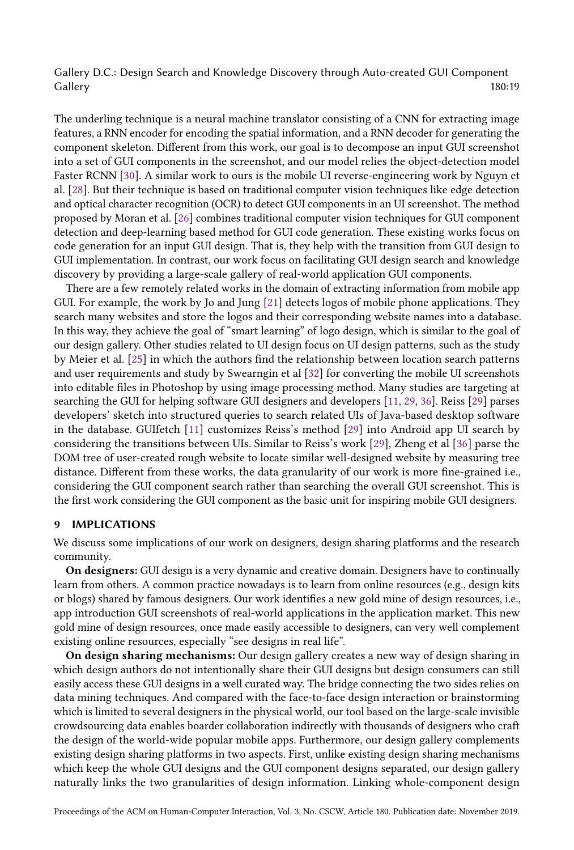The underling technique is a neural machine translator consisting of a CNN for extracting image features, a RNN encoder for encoding the spatial information, and a RNN decoder for generating the component skeleton. Different from this work, our goal is to decompose an input GUI screenshot into a set of GUI components in the screenshot, and our model relies the object-detection model Faster RCNN [\[30\]](#page-20-2). A similar work to ours is the mobile UI reverse-engineering work by Nguyn et al. [\[28\]](#page-20-19). But their technique is based on traditional computer vision techniques like edge detection and optical character recognition (OCR) to detect GUI components in an UI screenshot. The method proposed by Moran et al. [\[26\]](#page-20-20) combines traditional computer vision techniques for GUI component detection and deep-learning based method for GUI code generation. These existing works focus on code generation for an input GUI design. That is, they help with the transition from GUI design to GUI implementation. In contrast, our work focus on facilitating GUI design search and knowledge discovery by providing a large-scale gallery of real-world application GUI components.

There are a few remotely related works in the domain of extracting information from mobile app GUI. For example, the work by Jo and Jung [\[21\]](#page-20-21) detects logos of mobile phone applications. They search many websites and store the logos and their corresponding website names into a database. In this way, they achieve the goal of "smart learning" of logo design, which is similar to the goal of our design gallery. Other studies related to UI design focus on UI design patterns, such as the study by Meier et al. [\[25\]](#page-20-22) in which the authors find the relationship between location search patterns and user requirements and study by Swearngin et al [\[32\]](#page-21-5) for converting the mobile UI screenshots into editable files in Photoshop by using image processing method. Many studies are targeting at searching the GUI for helping software GUI designers and developers [\[11,](#page-20-23) [29,](#page-20-24) [36\]](#page-21-6). Reiss [\[29\]](#page-20-24) parses developers' sketch into structured queries to search related UIs of Java-based desktop software in the database. GUIfetch [\[11\]](#page-20-23) customizes Reiss's method [\[29\]](#page-20-24) into Android app UI search by considering the transitions between UIs. Similar to Reiss's work [\[29\]](#page-20-24), Zheng et al [\[36\]](#page-21-6) parse the DOM tree of user-created rough website to locate similar well-designed website by measuring tree distance. Different from these works, the data granularity of our work is more fine-grained i.e., considering the GUI component search rather than searching the overall GUI screenshot. This is the first work considering the GUI component as the basic unit for inspiring mobile GUI designers.

#### 9 IMPLICATIONS

We discuss some implications of our work on designers, design sharing platforms and the research community.

On designers: GUI design is a very dynamic and creative domain. Designers have to continually learn from others. A common practice nowadays is to learn from online resources (e.g., design kits or blogs) shared by famous designers. Our work identifies a new gold mine of design resources, i.e., app introduction GUI screenshots of real-world applications in the application market. This new gold mine of design resources, once made easily accessible to designers, can very well complement existing online resources, especially "see designs in real life".

On design sharing mechanisms: Our design gallery creates a new way of design sharing in which design authors do not intentionally share their GUI designs but design consumers can still easily access these GUI designs in a well curated way. The bridge connecting the two sides relies on data mining techniques. And compared with the face-to-face design interaction or brainstorming which is limited to several designers in the physical world, our tool based on the large-scale invisible crowdsourcing data enables boarder collaboration indirectly with thousands of designers who craft the design of the world-wide popular mobile apps. Furthermore, our design gallery complements existing design sharing platforms in two aspects. First, unlike existing design sharing mechanisms which keep the whole GUI designs and the GUI component designs separated, our design gallery naturally links the two granularities of design information. Linking whole-component design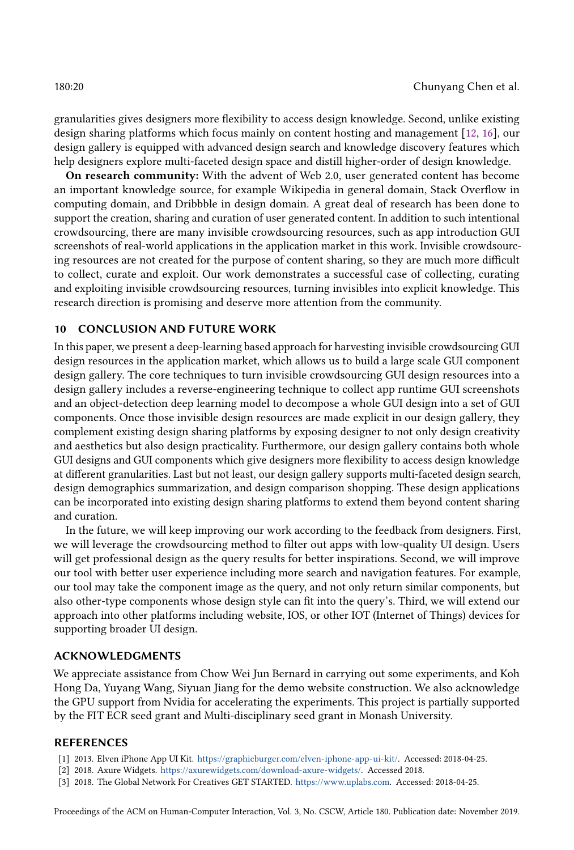granularities gives designers more flexibility to access design knowledge. Second, unlike existing design sharing platforms which focus mainly on content hosting and management [\[12,](#page-20-25) [16\]](#page-20-26), our design gallery is equipped with advanced design search and knowledge discovery features which help designers explore multi-faceted design space and distill higher-order of design knowledge.

On research community: With the advent of Web 2.0, user generated content has become an important knowledge source, for example Wikipedia in general domain, Stack Overflow in computing domain, and Dribbble in design domain. A great deal of research has been done to support the creation, sharing and curation of user generated content. In addition to such intentional crowdsourcing, there are many invisible crowdsourcing resources, such as app introduction GUI screenshots of real-world applications in the application market in this work. Invisible crowdsourcing resources are not created for the purpose of content sharing, so they are much more difficult to collect, curate and exploit. Our work demonstrates a successful case of collecting, curating and exploiting invisible crowdsourcing resources, turning invisibles into explicit knowledge. This research direction is promising and deserve more attention from the community.

#### 10 CONCLUSION AND FUTURE WORK

In this paper, we present a deep-learning based approach for harvesting invisible crowdsourcing GUI design resources in the application market, which allows us to build a large scale GUI component design gallery. The core techniques to turn invisible crowdsourcing GUI design resources into a design gallery includes a reverse-engineering technique to collect app runtime GUI screenshots and an object-detection deep learning model to decompose a whole GUI design into a set of GUI components. Once those invisible design resources are made explicit in our design gallery, they complement existing design sharing platforms by exposing designer to not only design creativity and aesthetics but also design practicality. Furthermore, our design gallery contains both whole GUI designs and GUI components which give designers more flexibility to access design knowledge at different granularities. Last but not least, our design gallery supports multi-faceted design search, design demographics summarization, and design comparison shopping. These design applications can be incorporated into existing design sharing platforms to extend them beyond content sharing and curation.

In the future, we will keep improving our work according to the feedback from designers. First, we will leverage the crowdsourcing method to filter out apps with low-quality UI design. Users will get professional design as the query results for better inspirations. Second, we will improve our tool with better user experience including more search and navigation features. For example, our tool may take the component image as the query, and not only return similar components, but also other-type components whose design style can fit into the query's. Third, we will extend our approach into other platforms including website, IOS, or other IOT (Internet of Things) devices for supporting broader UI design.

#### ACKNOWLEDGMENTS

We appreciate assistance from Chow Wei Jun Bernard in carrying out some experiments, and Koh Hong Da, Yuyang Wang, Siyuan Jiang for the demo website construction. We also acknowledge the GPU support from Nvidia for accelerating the experiments. This project is partially supported by the FIT ECR seed grant and Multi-disciplinary seed grant in Monash University.

#### REFERENCES

- <span id="page-19-0"></span>[1] 2013. Elven iPhone App UI Kit. [https://graphicburger.com/elven-iphone-app-ui-kit/.](https://graphicburger.com/elven-iphone-app-ui-kit/) Accessed: 2018-04-25.
- <span id="page-19-2"></span>[2] 2018. Axure Widgets. [https://axurewidgets.com/download-axure-widgets/.](https://axurewidgets.com/download-axure-widgets/) Accessed 2018.
- <span id="page-19-1"></span>[3] 2018. The Global Network For Creatives GET STARTED. [https://www.uplabs.com.](https://www.uplabs.com) Accessed: 2018-04-25.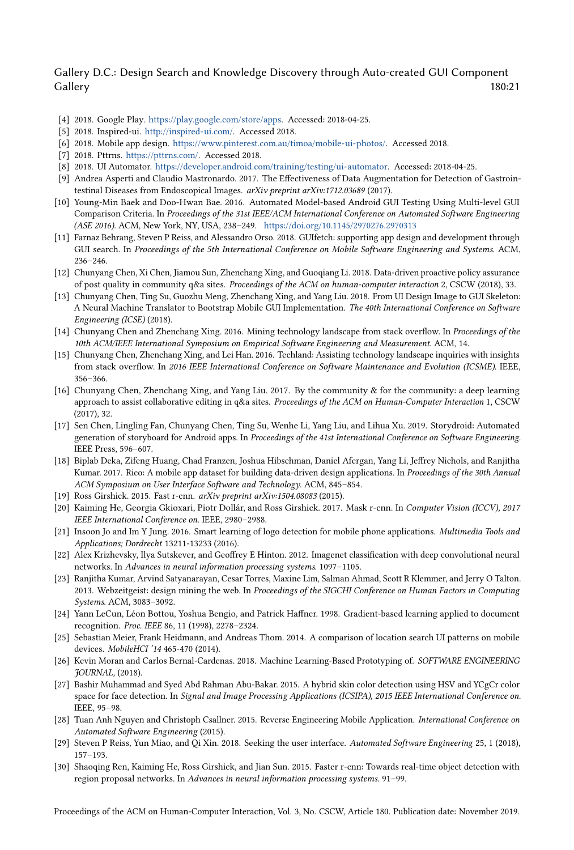- <span id="page-20-3"></span>[4] 2018. Google Play. [https://play.google.com/store/apps.](https://play.google.com/store/apps) Accessed: 2018-04-25.
- <span id="page-20-0"></span>[5] 2018. Inspired-ui. [http://inspired-ui.com/.](http://inspired-ui.com/) Accessed 2018.
- <span id="page-20-14"></span>[6] 2018. Mobile app design. [https://www.pinterest.com.au/timoa/mobile-ui-photos/.](https://www.pinterest.com.au/timoa/mobile-ui-photos/) Accessed 2018.
- <span id="page-20-1"></span>[7] 2018. Pttrns. [https://pttrns.com/.](https://pttrns.com/) Accessed 2018.
- <span id="page-20-5"></span>[8] 2018. UI Automator. [https://developer.android.com/training/testing/ui-automator.](https://developer.android.com/training/testing/ui-automator) Accessed: 2018-04-25.
- <span id="page-20-11"></span>[9] Andrea Asperti and Claudio Mastronardo. 2017. The Effectiveness of Data Augmentation for Detection of Gastrointestinal Diseases from Endoscopical Images. arXiv preprint arXiv:1712.03689 (2017).
- <span id="page-20-6"></span>[10] Young-Min Baek and Doo-Hwan Bae. 2016. Automated Model-based Android GUI Testing Using Multi-level GUI Comparison Criteria. In Proceedings of the 31st IEEE/ACM International Conference on Automated Software Engineering (ASE 2016). ACM, New York, NY, USA, 238–249. <https://doi.org/10.1145/2970276.2970313>
- <span id="page-20-23"></span>[11] Farnaz Behrang, Steven P Reiss, and Alessandro Orso. 2018. GUIfetch: supporting app design and development through GUI search. In Proceedings of the 5th International Conference on Mobile Software Engineering and Systems. ACM, 236–246.
- <span id="page-20-25"></span>[12] Chunyang Chen, Xi Chen, Jiamou Sun, Zhenchang Xing, and Guoqiang Li. 2018. Data-driven proactive policy assurance of post quality in community q&a sites. Proceedings of the ACM on human-computer interaction 2, CSCW (2018), 33.
- <span id="page-20-18"></span>[13] Chunyang Chen, Ting Su, Guozhu Meng, Zhenchang Xing, and Yang Liu. 2018. From UI Design Image to GUI Skeleton: A Neural Machine Translator to Bootstrap Mobile GUI Implementation. The 40th International Conference on Software Engineering (ICSE) (2018).
- <span id="page-20-12"></span>[14] Chunyang Chen and Zhenchang Xing. 2016. Mining technology landscape from stack overflow. In Proceedings of the 10th ACM/IEEE International Symposium on Empirical Software Engineering and Measurement. ACM, 14.
- <span id="page-20-13"></span>[15] Chunyang Chen, Zhenchang Xing, and Lei Han. 2016. Techland: Assisting technology landscape inquiries with insights from stack overflow. In 2016 IEEE International Conference on Software Maintenance and Evolution (ICSME). IEEE, 356–366.
- <span id="page-20-26"></span>[16] Chunyang Chen, Zhenchang Xing, and Yang Liu. 2017. By the community & for the community: a deep learning approach to assist collaborative editing in q&a sites. Proceedings of the ACM on Human-Computer Interaction 1, CSCW (2017), 32.
- <span id="page-20-16"></span>[17] Sen Chen, Lingling Fan, Chunyang Chen, Ting Su, Wenhe Li, Yang Liu, and Lihua Xu. 2019. Storydroid: Automated generation of storyboard for Android apps. In Proceedings of the 41st International Conference on Software Engineering. IEEE Press, 596–607.
- <span id="page-20-15"></span>[18] Biplab Deka, Zifeng Huang, Chad Franzen, Joshua Hibschman, Daniel Afergan, Yang Li, Jeffrey Nichols, and Ranjitha Kumar. 2017. Rico: A mobile app dataset for building data-driven design applications. In Proceedings of the 30th Annual ACM Symposium on User Interface Software and Technology. ACM, 845–854.
- <span id="page-20-7"></span>[19] Ross Girshick. 2015. Fast r-cnn. arXiv preprint arXiv:1504.08083 (2015).
- <span id="page-20-8"></span>[20] Kaiming He, Georgia Gkioxari, Piotr Dollár, and Ross Girshick. 2017. Mask r-cnn. In Computer Vision (ICCV), 2017 IEEE International Conference on. IEEE, 2980–2988.
- <span id="page-20-21"></span>[21] Insoon Jo and Im Y Jung. 2016. Smart learning of logo detection for mobile phone applications. Multimedia Tools and Applications; Dordrecht 13211-13233 (2016).
- <span id="page-20-9"></span>[22] Alex Krizhevsky, Ilya Sutskever, and Geoffrey E Hinton. 2012. Imagenet classification with deep convolutional neural networks. In Advances in neural information processing systems. 1097–1105.
- <span id="page-20-17"></span>[23] Ranjitha Kumar, Arvind Satyanarayan, Cesar Torres, Maxine Lim, Salman Ahmad, Scott R Klemmer, and Jerry O Talton. 2013. Webzeitgeist: design mining the web. In Proceedings of the SIGCHI Conference on Human Factors in Computing Systems. ACM, 3083–3092.
- <span id="page-20-10"></span>[24] Yann LeCun, Léon Bottou, Yoshua Bengio, and Patrick Haffner. 1998. Gradient-based learning applied to document recognition. Proc. IEEE 86, 11 (1998), 2278–2324.
- <span id="page-20-22"></span>[25] Sebastian Meier, Frank Heidmann, and Andreas Thom. 2014. A comparison of location search UI patterns on mobile devices. MobileHCI '14 465-470 (2014).
- <span id="page-20-20"></span>[26] Kevin Moran and Carlos Bernal-Cardenas. 2018. Machine Learning-Based Prototyping of. SOFTWARE ENGINEERING JOURNAL, (2018).
- <span id="page-20-4"></span>[27] Bashir Muhammad and Syed Abd Rahman Abu-Bakar. 2015. A hybrid skin color detection using HSV and YCgCr color space for face detection. In Signal and Image Processing Applications (ICSIPA), 2015 IEEE International Conference on. IEEE, 95–98.
- <span id="page-20-19"></span>[28] Tuan Anh Nguyen and Christoph Csallner. 2015. Reverse Engineering Mobile Application. International Conference on Automated Software Engineering (2015).
- <span id="page-20-24"></span>[29] Steven P Reiss, Yun Miao, and Qi Xin. 2018. Seeking the user interface. Automated Software Engineering 25, 1 (2018), 157–193.
- <span id="page-20-2"></span>[30] Shaoqing Ren, Kaiming He, Ross Girshick, and Jian Sun. 2015. Faster r-cnn: Towards real-time object detection with region proposal networks. In Advances in neural information processing systems. 91–99.